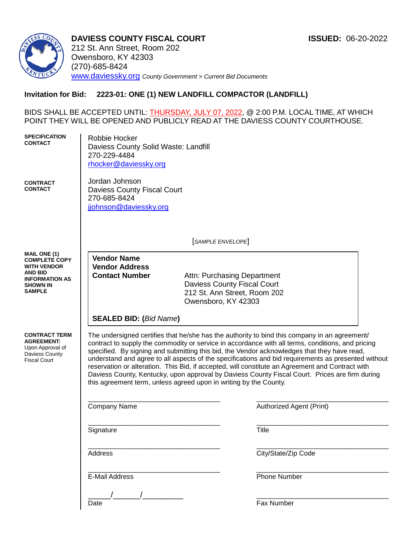

**DAVIESS COUNTY FISCAL COURT ISSUED:** 06-20-2022 212 St. Ann Street, Room 202 Owensboro, KY 42303 (270)-685-8424 [www.daviessky.org](http://www.daviessky.org/) *County Government > Current Bid Documents*

# **Invitation for Bid: 2223-01: ONE (1) NEW LANDFILL COMPACTOR (LANDFILL)**

BIDS SHALL BE ACCEPTED UNTIL: <u>THURSDAY, JULY 07, 2022,</u> @ 2:00 P.M. LOCAL TIME, AT WHICH POINT THEY WILL BE OPENED AND PUBLICLY READ AT THE DAVIESS COUNTY COURTHOUSE.

| <b>SPECIFICATION</b><br><b>CONTACT</b><br><b>CONTRACT</b><br><b>CONTACT</b>                            | Robbie Hocker<br>Daviess County Solid Waste: Landfill<br>270-229-4484<br>rhocker@daviessky.org<br>Jordan Johnson<br><b>Daviess County Fiscal Court</b>                                                                                                                                                                                                                                                                                                                                                                                                                                                                                                                              |                                    |                          |  |  |  |
|--------------------------------------------------------------------------------------------------------|-------------------------------------------------------------------------------------------------------------------------------------------------------------------------------------------------------------------------------------------------------------------------------------------------------------------------------------------------------------------------------------------------------------------------------------------------------------------------------------------------------------------------------------------------------------------------------------------------------------------------------------------------------------------------------------|------------------------------------|--------------------------|--|--|--|
|                                                                                                        | 270-685-8424<br>jjohnson@daviessky.org                                                                                                                                                                                                                                                                                                                                                                                                                                                                                                                                                                                                                                              |                                    |                          |  |  |  |
|                                                                                                        | SAMPLE ENVELOPE                                                                                                                                                                                                                                                                                                                                                                                                                                                                                                                                                                                                                                                                     |                                    |                          |  |  |  |
| <b>MAIL ONE (1)</b><br><b>COMPLETE COPY</b>                                                            | <b>Vendor Name</b>                                                                                                                                                                                                                                                                                                                                                                                                                                                                                                                                                                                                                                                                  |                                    |                          |  |  |  |
| <b>WITH VENDOR</b><br><b>AND BID</b><br><b>INFORMATION AS</b><br><b>SHOWN IN</b>                       | <b>Vendor Address</b><br><b>Contact Number</b>                                                                                                                                                                                                                                                                                                                                                                                                                                                                                                                                                                                                                                      | Attn: Purchasing Department        |                          |  |  |  |
|                                                                                                        |                                                                                                                                                                                                                                                                                                                                                                                                                                                                                                                                                                                                                                                                                     | <b>Daviess County Fiscal Court</b> |                          |  |  |  |
| <b>SAMPLE</b>                                                                                          | 212 St. Ann Street, Room 202<br>Owensboro, KY 42303                                                                                                                                                                                                                                                                                                                                                                                                                                                                                                                                                                                                                                 |                                    |                          |  |  |  |
|                                                                                                        |                                                                                                                                                                                                                                                                                                                                                                                                                                                                                                                                                                                                                                                                                     |                                    |                          |  |  |  |
|                                                                                                        | <b>SEALED BID: (Bid Name)</b>                                                                                                                                                                                                                                                                                                                                                                                                                                                                                                                                                                                                                                                       |                                    |                          |  |  |  |
| <b>CONTRACT TERM</b><br><b>AGREEMENT:</b><br>Upon Approval of<br>Daviess County<br><b>Fiscal Court</b> | The undersigned certifies that he/she has the authority to bind this company in an agreement/<br>contract to supply the commodity or service in accordance with all terms, conditions, and pricing<br>specified. By signing and submitting this bid, the Vendor acknowledges that they have read,<br>understand and agree to all aspects of the specifications and bid requirements as presented without<br>reservation or alteration. This Bid, if accepted, will constitute an Agreement and Contract with<br>Daviess County, Kentucky, upon approval by Daviess County Fiscal Court. Prices are firm during<br>this agreement term, unless agreed upon in writing by the County. |                                    |                          |  |  |  |
|                                                                                                        | Company Name                                                                                                                                                                                                                                                                                                                                                                                                                                                                                                                                                                                                                                                                        |                                    | Authorized Agent (Print) |  |  |  |
|                                                                                                        | Signature                                                                                                                                                                                                                                                                                                                                                                                                                                                                                                                                                                                                                                                                           |                                    | <b>Title</b>             |  |  |  |
|                                                                                                        | Address                                                                                                                                                                                                                                                                                                                                                                                                                                                                                                                                                                                                                                                                             |                                    | City/State/Zip Code      |  |  |  |
|                                                                                                        | <b>E-Mail Address</b>                                                                                                                                                                                                                                                                                                                                                                                                                                                                                                                                                                                                                                                               |                                    | <b>Phone Number</b>      |  |  |  |
|                                                                                                        |                                                                                                                                                                                                                                                                                                                                                                                                                                                                                                                                                                                                                                                                                     |                                    |                          |  |  |  |
|                                                                                                        | Date                                                                                                                                                                                                                                                                                                                                                                                                                                                                                                                                                                                                                                                                                |                                    | Fax Number               |  |  |  |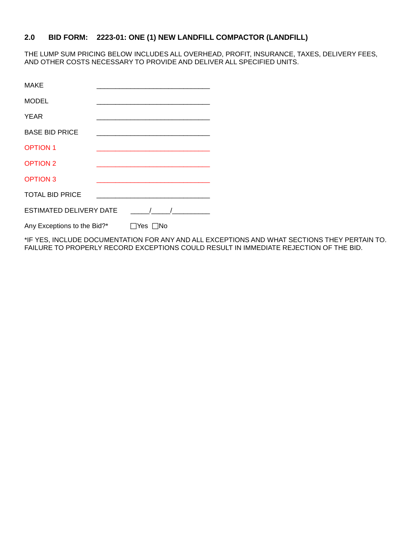# **2.0 BID FORM: 2223-01: ONE (1) NEW LANDFILL COMPACTOR (LANDFILL)**

THE LUMP SUM PRICING BELOW INCLUDES ALL OVERHEAD, PROFIT, INSURANCE, TAXES, DELIVERY FEES, AND OTHER COSTS NECESSARY TO PROVIDE AND DELIVER ALL SPECIFIED UNITS.

| <b>MAKE</b>                                  |  |                                                                 |  |
|----------------------------------------------|--|-----------------------------------------------------------------|--|
| <b>MODEL</b>                                 |  |                                                                 |  |
| <b>YEAR</b>                                  |  |                                                                 |  |
| <b>BASE BID PRICE</b>                        |  | the contract of the contract of the contract of the contract of |  |
| <b>OPTION 1</b>                              |  | <u> 1989 - Johann John Stone, mensk politik (d. 1989)</u>       |  |
| <b>OPTION 2</b>                              |  |                                                                 |  |
| <b>OPTION 3</b>                              |  |                                                                 |  |
| <b>TOTAL BID PRICE</b>                       |  |                                                                 |  |
| <b>ESTIMATED DELIVERY DATE</b><br>$\sqrt{1}$ |  |                                                                 |  |
| Any Exceptions to the Bid?*                  |  | ∏Yes ∏No                                                        |  |

\*IF YES, INCLUDE DOCUMENTATION FOR ANY AND ALL EXCEPTIONS AND WHAT SECTIONS THEY PERTAIN TO. FAILURE TO PROPERLY RECORD EXCEPTIONS COULD RESULT IN IMMEDIATE REJECTION OF THE BID.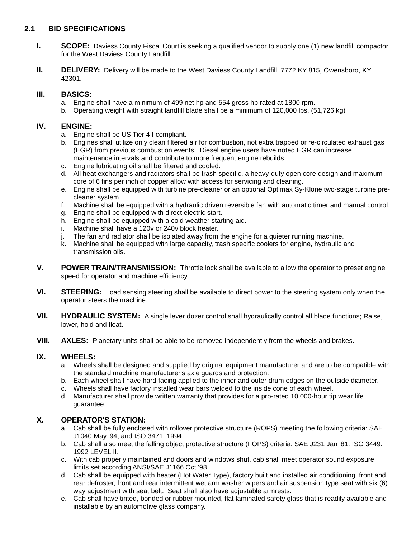## **2.1 BID SPECIFICATIONS**

- **I. SCOPE:** Daviess County Fiscal Court is seeking a qualified vendor to supply one (1) new landfill compactor for the West Daviess County Landfill.
- **II. DELIVERY:** Delivery will be made to the West Daviess County Landfill, 7772 KY 815, Owensboro, KY 42301.

## **III. BASICS:**

- a. Engine shall have a minimum of 499 net hp and 554 gross hp rated at 1800 rpm.
- b. Operating weight with straight landfill blade shall be a minimum of 120,000 lbs. (51,726 kg)

## **IV. ENGINE:**

- a. Engine shall be US Tier 4 I compliant.
- b. Engines shall utilize only clean filtered air for combustion, not extra trapped or re-circulated exhaust gas (EGR) from previous combustion events. Diesel engine users have noted EGR can increase maintenance intervals and contribute to more frequent engine rebuilds.
- c. Engine lubricating oil shall be filtered and cooled.
- d. All heat exchangers and radiators shall be trash specific, a heavy-duty open core design and maximum core of 6 fins per inch of copper allow with access for servicing and cleaning.
- e. Engine shall be equipped with turbine pre-cleaner or an optional Optimax Sy-Klone two-stage turbine precleaner system.
- f. Machine shall be equipped with a hydraulic driven reversible fan with automatic timer and manual control.
- g. Engine shall be equipped with direct electric start.
- h. Engine shall be equipped with a cold weather starting aid.
- i. Machine shall have a 120v or 240v block heater.
- j. The fan and radiator shall be isolated away from the engine for a quieter running machine.
- k. Machine shall be equipped with large capacity, trash specific coolers for engine, hydraulic and transmission oils.
- **V. POWER TRAIN/TRANSMISSION:** Throttle lock shall be available to allow the operator to preset engine speed for operator and machine efficiency.
- **VI. STEERING:** Load sensing steering shall be available to direct power to the steering system only when the operator steers the machine.
- **VII. HYDRAULIC SYSTEM:** A single lever dozer control shall hydraulically control all blade functions; Raise, lower, hold and float.
- **VIII. AXLES:** Planetary units shall be able to be removed independently from the wheels and brakes.

## **IX. WHEELS:**

- a. Wheels shall be designed and supplied by original equipment manufacturer and are to be compatible with the standard machine manufacturer's axle guards and protection.
- b. Each wheel shall have hard facing applied to the inner and outer drum edges on the outside diameter.
- c. Wheels shall have factory installed wear bars welded to the inside cone of each wheel.
- d. Manufacturer shall provide written warranty that provides for a pro-rated 10,000-hour tip wear life guarantee.

## **X. OPERATOR'S STATION:**

- a. Cab shall be fully enclosed with rollover protective structure (ROPS) meeting the following criteria: SAE J1040 May '94, and ISO 3471: 1994.
- b. Cab shall also meet the falling object protective structure (FOPS) criteria: SAE J231 Jan '81: ISO 3449: 1992 LEVEL II.
- c. With cab properly maintained and doors and windows shut, cab shall meet operator sound exposure limits set according ANSI/SAE J1166 Oct '98.
- d. Cab shall be equipped with heater (Hot Water Type), factory built and installed air conditioning, front and rear defroster, front and rear intermittent wet arm washer wipers and air suspension type seat with six (6) way adjustment with seat belt. Seat shall also have adjustable armrests.
- e. Cab shall have tinted, bonded or rubber mounted, flat laminated safety glass that is readily available and installable by an automotive glass company.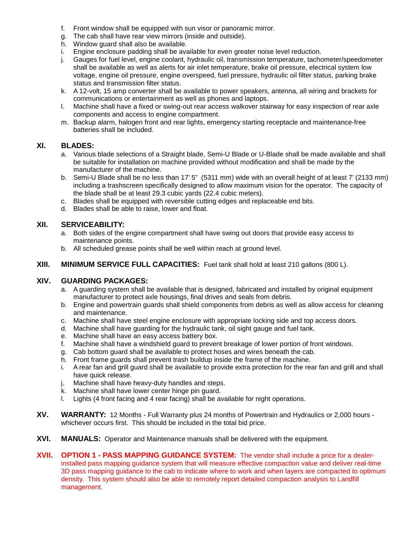- f. Front window shall be equipped with sun visor or panoramic mirror.
- g. The cab shall have rear view mirrors (inside and outside).
- h. Window guard shall also be available.
- i. Engine enclosure padding shall be available for even greater noise level reduction.
- j. Gauges for fuel level, engine coolant, hydraulic oil, transmission temperature, tachometer/speedometer shall be available as well as alerts for air inlet temperature, brake oil pressure, electrical system low voltage, engine oil pressure, engine overspeed, fuel pressure, hydraulic oil filter status, parking brake status and transmission filter status.
- k. A 12-volt, 15 amp converter shall be available to power speakers, antenna, all wiring and brackets for communications or entertainment as well as phones and laptops.
- l. Machine shall have a fixed or swing-out rear access walkover stairway for easy inspection of rear axle components and access to engine compartment.
- m. Backup alarm, halogen front and rear lights, emergency starting receptacle and maintenance-free batteries shall be included.

### **XI. BLADES:**

- a. Various blade selections of a Straight blade, Semi-U Blade or U-Blade shall be made available and shall be suitable for installation on machine provided without modification and shall be made by the manufacturer of the machine.
- b. Semi-U Blade shall be no less than 17' 5" (5311 mm) wide with an overall height of at least 7' (2133 mm) including a trashscreen specifically designed to allow maximum vision for the operator. The capacity of the blade shall be at least 29.3 cubic yards (22.4 cubic meters).
- c. Blades shall be equipped with reversible cutting edges and replaceable end bits.
- d. Blades shall be able to raise, lower and float.

#### **XII. SERVICEABILITY:**

- a. Both sides of the engine compartment shall have swing out doors that provide easy access to maintenance points.
- b. All scheduled grease points shall be well within reach at ground level.
- **XIII. MINIMUM SERVICE FULL CAPACITIES:** Fuel tank shall hold at least 210 gallons (800 L).

### **XIV. GUARDING PACKAGES:**

- a. A guarding system shall be available that is designed, fabricated and installed by original equipment manufacturer to protect axle housings, final drives and seals from debris.
- b. Engine and powertrain guards shall shield components from debris as well as allow access for cleaning and maintenance.
- c. Machine shall have steel engine enclosure with appropriate locking side and top access doors.
- d. Machine shall have guarding for the hydraulic tank, oil sight gauge and fuel tank.
- e. Machine shall have an easy access battery box.
- f. Machine shall have a windshield guard to prevent breakage of lower portion of front windows.
- g. Cab bottom guard shall be available to protect hoses and wires beneath the cab.
- h. Front frame guards shall prevent trash buildup inside the frame of the machine.
- i. A rear fan and grill guard shall be available to provide extra protection for the rear fan and grill and shall have quick release.
- j. Machine shall have heavy-duty handles and steps.
- k. Machine shall have lower center hinge pin guard.
- l. Lights (4 front facing and 4 rear facing) shall be available for night operations.
- **XV. WARRANTY:** 12 Months Full Warranty plus 24 months of Powertrain and Hydraulics or 2,000 hours whichever occurs first. This should be included in the total bid price.
- **XVI. MANUALS:** Operator and Maintenance manuals shall be delivered with the equipment.
- **XVII. OPTION 1 - PASS MAPPING GUIDANCE SYSTEM:** The vendor shall include a price for a dealerinstalled pass mapping guidance system that will measure effective compaction value and deliver real-time 3D pass mapping guidance to the cab to indicate where to work and when layers are compacted to optimum density. This system should also be able to remotely report detailed compaction analysis to Landfill management.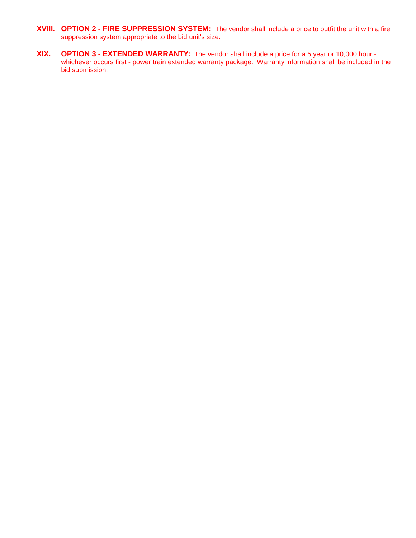- **XVIII. OPTION 2 - FIRE SUPPRESSION SYSTEM:** The vendor shall include a price to outfit the unit with a fire suppression system appropriate to the bid unit's size.
- **XIX. OPTION 3 - EXTENDED WARRANTY:** The vendor shall include a price for a 5 year or 10,000 hour whichever occurs first - power train extended warranty package. Warranty information shall be included in the bid submission.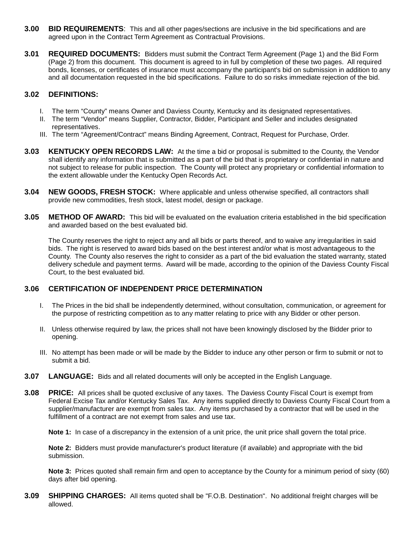- **3.00 BID REQUIREMENTS**: This and all other pages/sections are inclusive in the bid specifications and are agreed upon in the Contract Term Agreement as Contractual Provisions.
- **3.01 REQUIRED DOCUMENTS:** Bidders must submit the Contract Term Agreement (Page 1) and the Bid Form (Page 2) from this document. This document is agreed to in full by completion of these two pages. All required bonds, licenses, or certificates of insurance must accompany the participant's bid on submission in addition to any and all documentation requested in the bid specifications. Failure to do so risks immediate rejection of the bid.

### **3.02 DEFINITIONS:**

- I. The term "County" means Owner and Daviess County, Kentucky and its designated representatives.
- II. The term "Vendor" means Supplier, Contractor, Bidder, Participant and Seller and includes designated representatives.
- III. The term "Agreement/Contract" means Binding Agreement, Contract, Request for Purchase, Order.
- **3.03 KENTUCKY OPEN RECORDS LAW:** At the time a bid or proposal is submitted to the County, the Vendor shall identify any information that is submitted as a part of the bid that is proprietary or confidential in nature and not subject to release for public inspection. The County will protect any proprietary or confidential information to the extent allowable under the Kentucky Open Records Act.
- **3.04 NEW GOODS, FRESH STOCK:** Where applicable and unless otherwise specified, all contractors shall provide new commodities, fresh stock, latest model, design or package.
- **3.05 METHOD OF AWARD:** This bid will be evaluated on the evaluation criteria established in the bid specification and awarded based on the best evaluated bid.

The County reserves the right to reject any and all bids or parts thereof, and to waive any irregularities in said bids. The right is reserved to award bids based on the best interest and/or what is most advantageous to the County. The County also reserves the right to consider as a part of the bid evaluation the stated warranty, stated delivery schedule and payment terms. Award will be made, according to the opinion of the Daviess County Fiscal Court, to the best evaluated bid.

### **3.06 CERTIFICATION OF INDEPENDENT PRICE DETERMINATION**

- I. The Prices in the bid shall be independently determined, without consultation, communication, or agreement for the purpose of restricting competition as to any matter relating to price with any Bidder or other person.
- II. Unless otherwise required by law, the prices shall not have been knowingly disclosed by the Bidder prior to opening.
- III. No attempt has been made or will be made by the Bidder to induce any other person or firm to submit or not to submit a bid.
- **3.07 LANGUAGE:** Bids and all related documents will only be accepted in the English Language.
- **3.08 PRICE:** All prices shall be quoted exclusive of any taxes. The Daviess County Fiscal Court is exempt from Federal Excise Tax and/or Kentucky Sales Tax. Any items supplied directly to Daviess County Fiscal Court from a supplier/manufacturer are exempt from sales tax. Any items purchased by a contractor that will be used in the fulfillment of a contract are not exempt from sales and use tax.

**Note 1:** In case of a discrepancy in the extension of a unit price, the unit price shall govern the total price.

**Note 2:** Bidders must provide manufacturer's product literature (if available) and appropriate with the bid submission.

**Note 3:** Prices quoted shall remain firm and open to acceptance by the County for a minimum period of sixty (60) days after bid opening.

**3.09 SHIPPING CHARGES:** All items quoted shall be "F.O.B. Destination". No additional freight charges will be allowed.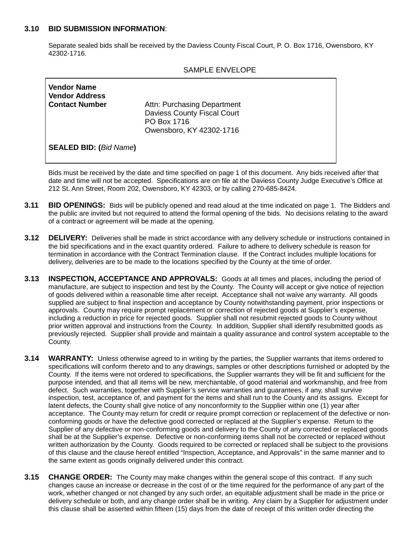### **3.10 BID SUBMISSION INFORMATION**:

Separate sealed bids shall be received by the Daviess County Fiscal Court, P. O. Box 1716, Owensboro, KY 42302-1716.

|                                                                      | SAMPLE ENVELOPE                                                                                              |
|----------------------------------------------------------------------|--------------------------------------------------------------------------------------------------------------|
| <b>Vendor Name</b><br><b>Vendor Address</b><br><b>Contact Number</b> | Attn: Purchasing Department<br><b>Daviess County Fiscal Court</b><br>PO Box 1716<br>Owensboro, KY 42302-1716 |
| <b>SEALED BID: (Bid Name)</b>                                        |                                                                                                              |

## $\mathbf{S}$

Bids must be received by the date and time specified on page 1 of this document. Any bids received after that date and time will not be accepted. Specifications are on file at the Daviess County Judge Executive's Office at 212 St. Ann Street, Room 202, Owensboro, KY 42303, or by calling 270-685-8424.

- **3.11 BID OPENINGS:** Bids will be publicly opened and read aloud at the time indicated on page 1. The Bidders and the public are invited but not required to attend the formal opening of the bids. No decisions relating to the award of a contract or agreement will be made at the opening.
- **3.12 DELIVERY:** Deliveries shall be made in strict accordance with any delivery schedule or instructions contained in the bid specifications and in the exact quantity ordered. Failure to adhere to delivery schedule is reason for termination in accordance with the Contract Termination clause. If the Contract includes multiple locations for delivery, deliveries are to be made to the locations specified by the County at the time of order.
- **3.13 INSPECTION, ACCEPTANCE AND APPROVALS:** Goods at all times and places, including the period of manufacture, are subject to inspection and test by the County. The County will accept or give notice of rejection of goods delivered within a reasonable time after receipt. Acceptance shall not waive any warranty. All goods supplied are subject to final inspection and acceptance by County notwithstanding payment, prior inspections or approvals. County may require prompt replacement or correction of rejected goods at Supplier's expense, including a reduction in price for rejected goods. Supplier shall not resubmit rejected goods to County without prior written approval and instructions from the County. In addition, Supplier shall identify resubmitted goods as previously rejected. Supplier shall provide and maintain a quality assurance and control system acceptable to the County.
- **3.14 WARRANTY:** Unless otherwise agreed to in writing by the parties, the Supplier warrants that items ordered to specifications will conform thereto and to any drawings, samples or other descriptions furnished or adopted by the County. If the items were not ordered to specifications, the Supplier warrants they will be fit and sufficient for the purpose intended, and that all items will be new, merchantable, of good material and workmanship, and free from defect. Such warranties, together with Supplier's service warranties and guarantees, if any, shall survive inspection, test, acceptance of, and payment for the items and shall run to the County and its assigns. Except for latent defects, the County shall give notice of any nonconformity to the Supplier within one (1) year after acceptance. The County may return for credit or require prompt correction or replacement of the defective or nonconforming goods or have the defective good corrected or replaced at the Supplier's expense. Return to the Supplier of any defective or non-conforming goods and delivery to the County of any corrected or replaced goods shall be at the Supplier's expense. Defective or non-conforming items shall not be corrected or replaced without written authorization by the County. Goods required to be corrected or replaced shall be subject to the provisions of this clause and the clause hereof entitled "Inspection, Acceptance, and Approvals" in the same manner and to the same extent as goods originally delivered under this contract.
- **3.15 CHANGE ORDER:** The County may make changes within the general scope of this contract. If any such changes cause an increase or decrease in the cost of or the time required for the performance of any part of the work, whether changed or not changed by any such order, an equitable adjustment shall be made in the price or delivery schedule or both, and any change order shall be in writing. Any claim by a Supplier for adjustment under this clause shall be asserted within fifteen (15) days from the date of receipt of this written order directing the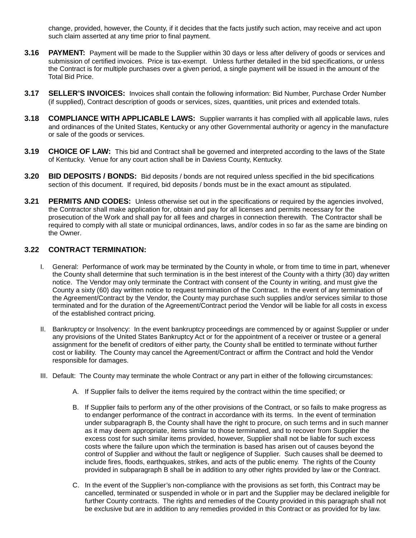change, provided, however, the County, if it decides that the facts justify such action, may receive and act upon such claim asserted at any time prior to final payment.

- **3.16 PAYMENT:** Payment will be made to the Supplier within 30 days or less after delivery of goods or services and submission of certified invoices. Price is tax-exempt. Unless further detailed in the bid specifications, or unless the Contract is for multiple purchases over a given period, a single payment will be issued in the amount of the Total Bid Price.
- **3.17 SELLER'S INVOICES:** Invoices shall contain the following information: Bid Number, Purchase Order Number (if supplied), Contract description of goods or services, sizes, quantities, unit prices and extended totals.
- **3.18 COMPLIANCE WITH APPLICABLE LAWS:** Supplier warrants it has complied with all applicable laws, rules and ordinances of the United States, Kentucky or any other Governmental authority or agency in the manufacture or sale of the goods or services.
- **3.19 CHOICE OF LAW:** This bid and Contract shall be governed and interpreted according to the laws of the State of Kentucky. Venue for any court action shall be in Daviess County, Kentucky.
- **3.20 BID DEPOSITS / BONDS:** Bid deposits / bonds are not required unless specified in the bid specifications section of this document. If required, bid deposits / bonds must be in the exact amount as stipulated.
- **3.21 PERMITS AND CODES:** Unless otherwise set out in the specifications or required by the agencies involved, the Contractor shall make application for, obtain and pay for all licenses and permits necessary for the prosecution of the Work and shall pay for all fees and charges in connection therewith. The Contractor shall be required to comply with all state or municipal ordinances, laws, and/or codes in so far as the same are binding on the Owner.

### **3.22 CONTRACT TERMINATION:**

- I. General: Performance of work may be terminated by the County in whole, or from time to time in part, whenever the County shall determine that such termination is in the best interest of the County with a thirty (30) day written notice. The Vendor may only terminate the Contract with consent of the County in writing, and must give the County a sixty (60) day written notice to request termination of the Contract. In the event of any termination of the Agreement/Contract by the Vendor, the County may purchase such supplies and/or services similar to those terminated and for the duration of the Agreement/Contract period the Vendor will be liable for all costs in excess of the established contract pricing.
- II. Bankruptcy or Insolvency: In the event bankruptcy proceedings are commenced by or against Supplier or under any provisions of the United States Bankruptcy Act or for the appointment of a receiver or trustee or a general assignment for the benefit of creditors of either party, the County shall be entitled to terminate without further cost or liability. The County may cancel the Agreement/Contract or affirm the Contract and hold the Vendor responsible for damages.
- III. Default: The County may terminate the whole Contract or any part in either of the following circumstances:
	- A. If Supplier fails to deliver the items required by the contract within the time specified; or
	- B. If Supplier fails to perform any of the other provisions of the Contract, or so fails to make progress as to endanger performance of the contract in accordance with its terms. In the event of termination under subparagraph B, the County shall have the right to procure, on such terms and in such manner as it may deem appropriate, items similar to those terminated, and to recover from Supplier the excess cost for such similar items provided, however, Supplier shall not be liable for such excess costs where the failure upon which the termination is based has arisen out of causes beyond the control of Supplier and without the fault or negligence of Supplier. Such causes shall be deemed to include fires, floods, earthquakes, strikes, and acts of the public enemy. The rights of the County provided in subparagraph B shall be in addition to any other rights provided by law or the Contract.
	- C. In the event of the Supplier's non-compliance with the provisions as set forth, this Contract may be cancelled, terminated or suspended in whole or in part and the Supplier may be declared ineligible for further County contracts. The rights and remedies of the County provided in this paragraph shall not be exclusive but are in addition to any remedies provided in this Contract or as provided for by law.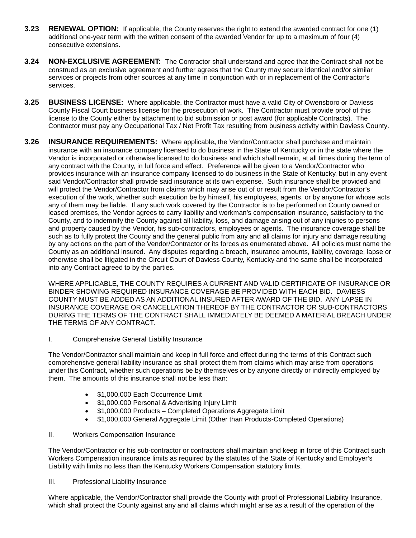- **3.23 RENEWAL OPTION:** If applicable, the County reserves the right to extend the awarded contract for one (1) additional one-year term with the written consent of the awarded Vendor for up to a maximum of four (4) consecutive extensions.
- **3.24 NON-EXCLUSIVE AGREEMENT:** The Contractor shall understand and agree that the Contract shall not be construed as an exclusive agreement and further agrees that the County may secure identical and/or similar services or projects from other sources at any time in conjunction with or in replacement of the Contractor's services.
- **3.25 BUSINESS LICENSE:** Where applicable, the Contractor must have a valid City of Owensboro or Daviess County Fiscal Court business license for the prosecution of work. The Contractor must provide proof of this license to the County either by attachment to bid submission or post award (for applicable Contracts). The Contractor must pay any Occupational Tax / Net Profit Tax resulting from business activity within Daviess County.
- **3.26 INSURANCE REQUIREMENTS:** Where applicable**,** the Vendor/Contractor shall purchase and maintain insurance with an insurance company licensed to do business in the State of Kentucky or in the state where the Vendor is incorporated or otherwise licensed to do business and which shall remain, at all times during the term of any contract with the County, in full force and effect. Preference will be given to a Vendor/Contractor who provides insurance with an insurance company licensed to do business in the State of Kentucky, but in any event said Vendor/Contractor shall provide said insurance at its own expense. Such insurance shall be provided and will protect the Vendor/Contractor from claims which may arise out of or result from the Vendor/Contractor's execution of the work, whether such execution be by himself, his employees, agents, or by anyone for whose acts any of them may be liable. If any such work covered by the Contractor is to be performed on County owned or leased premises, the Vendor agrees to carry liability and workman's compensation insurance, satisfactory to the County, and to indemnify the County against all liability, loss, and damage arising out of any injuries to persons and property caused by the Vendor, his sub-contractors, employees or agents. The insurance coverage shall be such as to fully protect the County and the general public from any and all claims for injury and damage resulting by any actions on the part of the Vendor/Contractor or its forces as enumerated above. All policies must name the County as an additional insured. Any disputes regarding a breach, insurance amounts, liability, coverage, lapse or otherwise shall be litigated in the Circuit Court of Daviess County, Kentucky and the same shall be incorporated into any Contract agreed to by the parties.

WHERE APPLICABLE, THE COUNTY REQUIRES A CURRENT AND VALID CERTIFICATE OF INSURANCE OR BINDER SHOWING REQUIRED INSURANCE COVERAGE BE PROVIDED WITH EACH BID. DAVIESS COUNTY MUST BE ADDED AS AN ADDITIONAL INSURED AFTER AWARD OF THE BID. ANY LAPSE IN INSURANCE COVERAGE OR CANCELLATION THEREOF BY THE CONTRACTOR OR SUB-CONTRACTORS DURING THE TERMS OF THE CONTRACT SHALL IMMEDIATELY BE DEEMED A MATERIAL BREACH UNDER THE TERMS OF ANY CONTRACT.

I. Comprehensive General Liability Insurance

The Vendor/Contractor shall maintain and keep in full force and effect during the terms of this Contract such comprehensive general liability insurance as shall protect them from claims which may arise from operations under this Contract, whether such operations be by themselves or by anyone directly or indirectly employed by them. The amounts of this insurance shall not be less than:

- \$1,000,000 Each Occurrence Limit
- \$1,000,000 Personal & Advertising Injury Limit
- \$1,000,000 Products Completed Operations Aggregate Limit
- \$1,000,000 General Aggregate Limit (Other than Products-Completed Operations)

#### II. Workers Compensation Insurance

The Vendor/Contractor or his sub-contractor or contractors shall maintain and keep in force of this Contract such Workers Compensation insurance limits as required by the statutes of the State of Kentucky and Employer's Liability with limits no less than the Kentucky Workers Compensation statutory limits.

III. Professional Liability Insurance

Where applicable, the Vendor/Contractor shall provide the County with proof of Professional Liability Insurance, which shall protect the County against any and all claims which might arise as a result of the operation of the